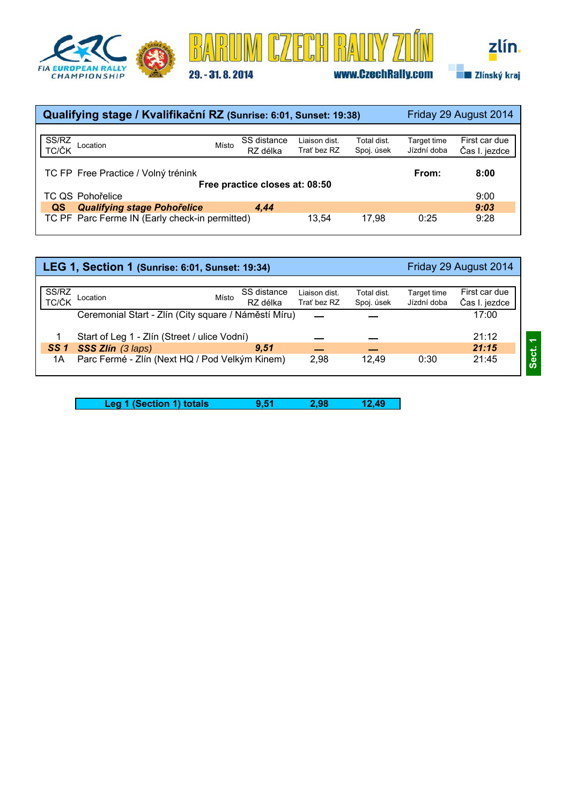





| Qualifying stage / Kvalifikační RZ (Sunrise: 6:01, Sunset: 19:38) |       |                         |                              | Friday 29 August 2014     |                            |                                |  |
|-------------------------------------------------------------------|-------|-------------------------|------------------------------|---------------------------|----------------------------|--------------------------------|--|
|                                                                   |       |                         |                              |                           |                            |                                |  |
| SS/RZ<br>TC/ČK Location                                           | Místo | SS distance<br>RZ délka | Liaison dist.<br>Trať bez RZ | Total dist.<br>Spoj. úsek | Target time<br>Jízdní doba | First car due<br>Čas I. jezdce |  |
| TC FP Free Practice / Volný trénink                               |       |                         |                              |                           | From:                      | 8:00                           |  |
| Free practice closes at: 08:50                                    |       |                         |                              |                           |                            |                                |  |
| TC QS Pohořelice                                                  |       |                         |                              |                           |                            | 9:00                           |  |
| <b>Qualifying stage Pohořelice</b><br>QS                          |       | 4.44                    |                              |                           |                            | 9:03                           |  |
| TC PF Parc Ferme IN (Early check-in permitted)                    |       |                         | 13.54                        | 17.98                     | 0:25                       | 9:28                           |  |

|                 | LEG 1, Section 1 (Sunrise: 6:01, Sunset: 19:34)      |                         |                              |                           |                            | Friday 29 August 2014          |
|-----------------|------------------------------------------------------|-------------------------|------------------------------|---------------------------|----------------------------|--------------------------------|
| SS/RZ<br>TC/ČK  | Místo<br>Location                                    | SS distance<br>RZ délka | Liaison dist.<br>Trat bez RZ | Total dist.<br>Spoj. úsek | Target time<br>Jízdní doba | First car due<br>Čas I. jezdce |
|                 | Ceremonial Start - Zlín (City square / Náměstí Míru) |                         |                              |                           |                            | 17:00                          |
|                 | Start of Leg 1 - Zlín (Street / ulice Vodní)         |                         |                              |                           |                            | 21:12                          |
| SS <sub>1</sub> | SSS Zlín (3 laps)                                    | 9.51                    |                              |                           |                            | 21:15                          |
| 1A              | Parc Fermé - Zlín (Next HQ / Pod Velkým Kinem)       |                         | 2,98                         | 12.49                     | 0:30                       | 21:45                          |

Leg 1 (Section 1) totals **9,51** 2,98 12,49  $\mathbb{R}^2$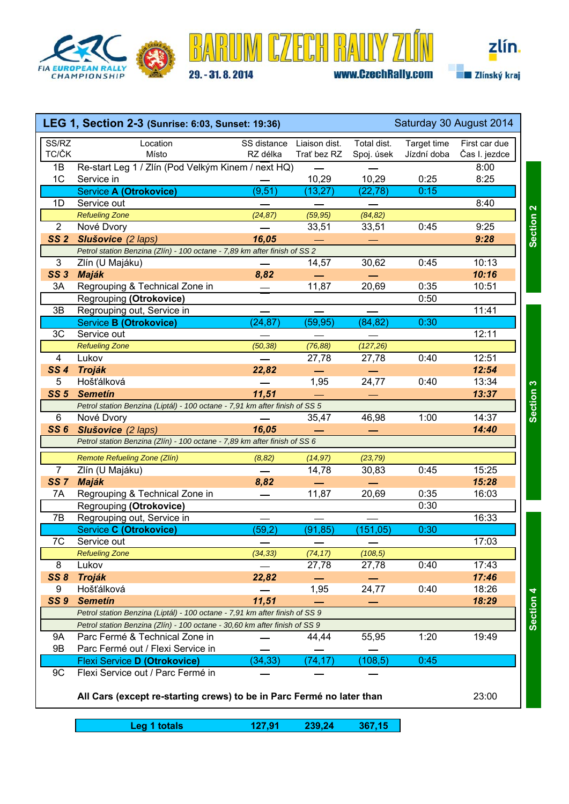





|                 | LEG 1, Section 2-3 (Sunrise: 6:03, Sunset: 19:36)<br>Saturday 30 August 2014 |                          |                              |                           |                            |                                |
|-----------------|------------------------------------------------------------------------------|--------------------------|------------------------------|---------------------------|----------------------------|--------------------------------|
| SS/RZ<br>TC/ČK  | Location<br>Místo                                                            | SS distance<br>RZ délka  | Liaison dist.<br>Trať bez RZ | Total dist.<br>Spoj. úsek | Target time<br>Jízdní doba | First car due<br>Čas I. jezdce |
| 1B              | Re-start Leg 1 / Zlín (Pod Velkým Kinem / next HQ)                           |                          |                              |                           |                            | 8:00                           |
| 1 <sup>C</sup>  | Service in                                                                   |                          | 10,29                        | 10,29                     | 0:25                       | 8:25                           |
|                 | <b>Service A (Otrokovice)</b>                                                | (9,51)                   | (13, 27)                     | (22, 78)                  | 0:15                       |                                |
| 1D              | Service out                                                                  |                          |                              |                           |                            | 8:40                           |
|                 | <b>Refueling Zone</b>                                                        | (24, 87)                 | (59, 95)                     | (84, 82)                  |                            |                                |
| $\overline{2}$  | Nové Dvory                                                                   |                          | 33,51                        | 33,51                     | 0:45                       | 9:25                           |
| SS <sub>2</sub> | Slušovice (2 laps)                                                           | 16,05                    |                              |                           |                            | 9:28                           |
|                 | Petrol station Benzina (Zlín) - 100 octane - 7,89 km after finish of SS 2    |                          |                              |                           |                            |                                |
| 3               | Zlín (U Majáku)                                                              | $\overline{\phantom{0}}$ | 14,57                        | 30,62                     | 0:45                       | 10:13                          |
| <b>SS 3</b>     | <b>Maják</b>                                                                 | 8,82                     |                              |                           |                            | 10:16                          |
| 3A              | Regrouping & Technical Zone in                                               |                          | 11,87                        | 20,69                     | 0:35                       | 10:51                          |
|                 | Regrouping (Otrokovice)                                                      |                          |                              |                           | 0:50                       |                                |
| 3B              | Regrouping out, Service in                                                   |                          |                              |                           |                            | 11:41                          |
|                 | <b>Service B (Otrokovice)</b>                                                | (24, 87)                 | (59, 95)                     | (84, 82)                  | 0:30                       |                                |
| 3C              | Service out                                                                  |                          |                              |                           |                            | 12:11                          |
|                 | <b>Refueling Zone</b>                                                        | (50, 38)                 | (76, 88)                     | (127, 26)                 |                            |                                |
| $\overline{4}$  | Lukov                                                                        |                          | 27,78                        | 27,78                     | 0:40                       | 12:51                          |
| SS <sub>4</sub> | <b>Troják</b>                                                                | 22,82                    |                              |                           |                            | 12:54                          |
| 5               | Hošťálková                                                                   |                          | 1,95                         | 24,77                     | 0:40                       | 13:34                          |
| <b>SS 5</b>     | <b>Semetin</b>                                                               | 11,51                    |                              |                           |                            | 13:37                          |
|                 | Petrol station Benzina (Liptál) - 100 octane - 7,91 km after finish of SS 5  |                          |                              |                           |                            |                                |
| 6               | Nové Dvory                                                                   |                          | 35,47                        | 46,98                     | 1:00                       | 14:37                          |
| <b>SS6</b>      | Slušovice (2 laps)                                                           | 16,05                    |                              |                           |                            | 14:40                          |
|                 | Petrol station Benzina (Zlín) - 100 octane - 7,89 km after finish of SS 6    |                          |                              |                           |                            |                                |
|                 | Remote Refueling Zone (Zlín)                                                 | (8, 82)                  | (14, 97)                     | (23, 79)                  |                            |                                |
| $\overline{7}$  | Zlín (U Majáku)                                                              |                          | 14,78                        | 30,83                     | 0:45                       | 15:25                          |
| SS <sub>7</sub> | Maják                                                                        | 8,82                     |                              |                           |                            | 15:28                          |
| 7A              | Regrouping & Technical Zone in                                               |                          | 11,87                        | 20,69                     | 0:35                       | 16:03                          |
|                 | Regrouping (Otrokovice)                                                      |                          |                              |                           | 0:30                       |                                |
| 7B              | Regrouping out, Service in                                                   |                          |                              |                           |                            | 16:33                          |
|                 | Service C (Otrokovice)                                                       | (59,2)                   | (91, 85)                     | (151, 05)                 | 0:30                       |                                |
| $\overline{7C}$ | Service out                                                                  |                          |                              |                           |                            | 17:03                          |
|                 | <b>Refueling Zone</b>                                                        | (34, 33)                 | (74, 17)                     | (108, 5)                  |                            |                                |
| 8               | Lukov                                                                        |                          | 27,78                        | 27,78                     | 0:40                       | 17:43                          |
| SS8             | <b>Troják</b>                                                                | 22,82                    |                              |                           |                            | 17:46                          |
| 9               | Hošťálková                                                                   |                          | 1,95                         | 24,77                     | 0:40                       | 18:26                          |
| <b>SS 9</b>     | <b>Semetin</b>                                                               | 11,51                    |                              |                           |                            | 18:29                          |
|                 | Petrol station Benzina (Liptál) - 100 octane - 7,91 km after finish of SS 9  |                          |                              |                           |                            |                                |
|                 | Petrol station Benzina (Zlín) - 100 octane - 30,60 km after finish of SS 9   |                          |                              |                           |                            |                                |
| <b>9A</b>       | Parc Fermé & Technical Zone in                                               |                          | 44,44                        | 55,95                     | 1:20                       | 19:49                          |
| 9B              | Parc Fermé out / Flexi Service in                                            |                          |                              |                           |                            |                                |
|                 | <b>Flexi Service D (Otrokovice)</b>                                          | (34, 33)                 | (74, 17)                     | (108, 5)                  | 0:45                       |                                |
| 9C              | Flexi Service out / Parc Fermé in                                            |                          |                              |                           |                            |                                |
|                 |                                                                              |                          |                              |                           |                            |                                |

**All Cars (except re-starting crews) to be in Parc Fermé no later than** 23:00

**Leg 1 totals 127,91 239,24 367,15 Leg 1**